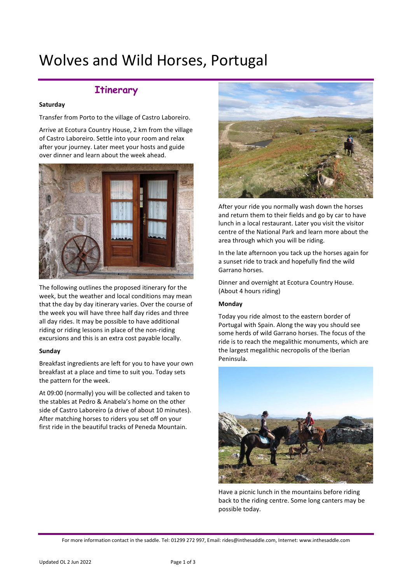# Wolves and Wild Horses, Portugal

# **Itinerary**

#### **Saturday**

Transfer from Porto to the village of Castro Laboreiro.

Arrive at Ecotura Country House, 2 km from the village of Castro Laboreiro. Settle into your room and relax after your journey. Later meet your hosts and guide over dinner and learn about the week ahead.



The following outlines the proposed itinerary for the week, but the weather and local conditions may mean that the day by day itinerary varies. Over the course of the week you will have three half day rides and three all day rides. It may be possible to have additional riding or riding lessons in place of the non-riding excursions and this is an extra cost payable locally.

#### **Sunday**

Breakfast ingredients are left for you to have your own breakfast at a place and time to suit you. Today sets the pattern for the week.

At 09:00 (normally) you will be collected and taken to the stables at Pedro & Anabela's home on the other side of Castro Laboreiro (a drive of about 10 minutes). After matching horses to riders you set off on your first ride in the beautiful tracks of Peneda Mountain.



After your ride you normally wash down the horses and return them to their fields and go by car to have lunch in a local restaurant. Later you visit the visitor centre of the National Park and learn more about the area through which you will be riding.

In the late afternoon you tack up the horses again for a sunset ride to track and hopefully find the wild Garrano horses.

Dinner and overnight at Ecotura Country House. (About 4 hours riding)

#### **Monday**

Today you ride almost to the eastern border of Portugal with Spain. Along the way you should see some herds of wild Garrano horses. The focus of the ride is to reach the megalithic monuments, which are the largest megalithic necropolis of the Iberian Peninsula.



Have a picnic lunch in the mountains before riding back to the riding centre. Some long canters may be possible today.

For more information contact in the saddle. Tel: 01299 272 997, Email: rides@inthesaddle.com, Internet: www.inthesaddle.com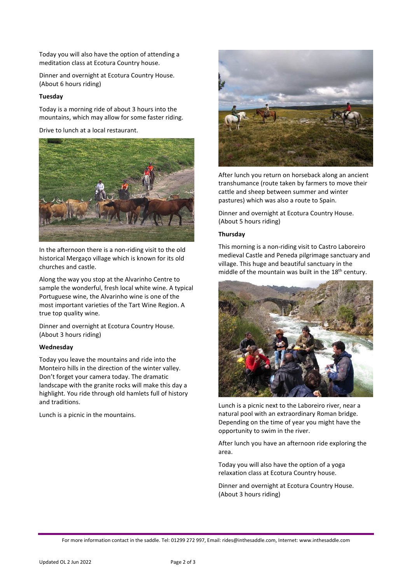Today you will also have the option of attending a meditation class at Ecotura Country house.

Dinner and overnight at Ecotura Country House. (About 6 hours riding)

# **Tuesday**

Today is a morning ride of about 3 hours into the mountains, which may allow for some faster riding.

Drive to lunch at a local restaurant.



In the afternoon there is a non-riding visit to the old historical Mergaço village which is known for its old churches and castle.

Along the way you stop at the Alvarinho Centre to sample the wonderful, fresh local white wine. A typical Portuguese wine, the Alvarinho wine is one of the most important varieties of the Tart Wine Region. A true top quality wine.

Dinner and overnight at Ecotura Country House. (About 3 hours riding)

# **Wednesday**

Today you leave the mountains and ride into the Monteiro hills in the direction of the winter valley. Don't forget your camera today. The dramatic landscape with the granite rocks will make this day a highlight. You ride through old hamlets full of history and traditions.

Lunch is a picnic in the mountains.



After lunch you return on horseback along an ancient transhumance (route taken by farmers to move their cattle and sheep between summer and winter pastures) which was also a route to Spain.

Dinner and overnight at Ecotura Country House. (About 5 hours riding)

# **Thursday**

This morning is a non-riding visit to Castro Laboreiro medieval Castle and Peneda pilgrimage sanctuary and village. This huge and beautiful sanctuary in the middle of the mountain was built in the  $18<sup>th</sup>$  century.



Lunch is a picnic next to the Laboreiro river, near a natural pool with an extraordinary Roman bridge. Depending on the time of year you might have the opportunity to swim in the river.

After lunch you have an afternoon ride exploring the area.

Today you will also have the option of a yoga relaxation class at Ecotura Country house.

Dinner and overnight at Ecotura Country House. (About 3 hours riding)

For more information contact in the saddle. Tel: 01299 272 997, Email: rides@inthesaddle.com, Internet: www.inthesaddle.com